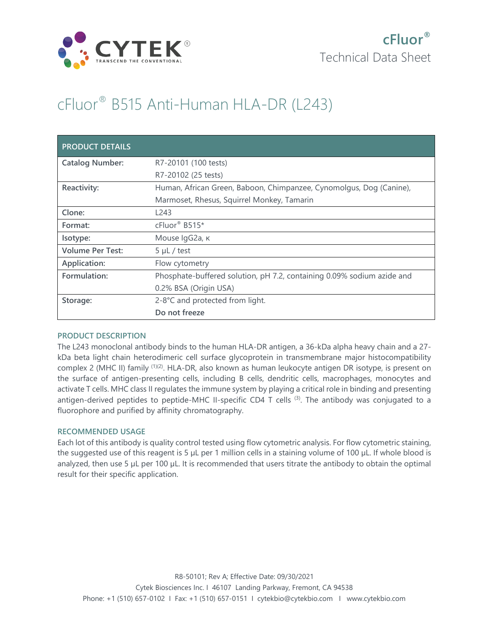

# cFluor® B515 Anti-Human HLA-DR (L243)

| <b>PRODUCT DETAILS</b>  |                                                                        |
|-------------------------|------------------------------------------------------------------------|
| <b>Catalog Number:</b>  | R7-20101 (100 tests)                                                   |
|                         | R7-20102 (25 tests)                                                    |
| Reactivity:             | Human, African Green, Baboon, Chimpanzee, Cynomolgus, Dog (Canine),    |
|                         | Marmoset, Rhesus, Squirrel Monkey, Tamarin                             |
| Clone:                  | L243                                                                   |
| Format:                 | cFluor <sup>®</sup> B515*                                              |
| Isotype:                | Mouse IgG2a, к                                                         |
| <b>Volume Per Test:</b> | $5 \mu L$ / test                                                       |
| Application:            | Flow cytometry                                                         |
| Formulation:            | Phosphate-buffered solution, pH 7.2, containing 0.09% sodium azide and |
|                         | 0.2% BSA (Origin USA)                                                  |
| Storage:                | 2-8°C and protected from light.                                        |
|                         | Do not freeze                                                          |

# **PRODUCT DESCRIPTION**

The L243 monoclonal antibody binds to the human HLA-DR antigen, a 36-kDa alpha heavy chain and a 27 kDa beta light chain heterodimeric cell surface glycoprotein in transmembrane major histocompatibility complex 2 (MHC II) family <sup>(1)(2)</sup>. HLA-DR, also known as human leukocyte antigen DR isotype, is present on the surface of antigen-presenting cells, including B cells, dendritic cells, macrophages, monocytes and activate T cells. MHC class II regulates the immune system by playing a critical role in binding and presenting antigen-derived peptides to peptide-MHC II-specific CD4 T cells <sup>(3)</sup>. The antibody was conjugated to a fluorophore and purified by affinity chromatography.

# **RECOMMENDED USAGE**

Each lot of this antibody is quality control tested using flow cytometric analysis. For flow cytometric staining, the suggested use of this reagent is 5 µL per 1 million cells in a staining volume of 100 µL. If whole blood is analyzed, then use 5 µL per 100 µL. It is recommended that users titrate the antibody to obtain the optimal result for their specific application.